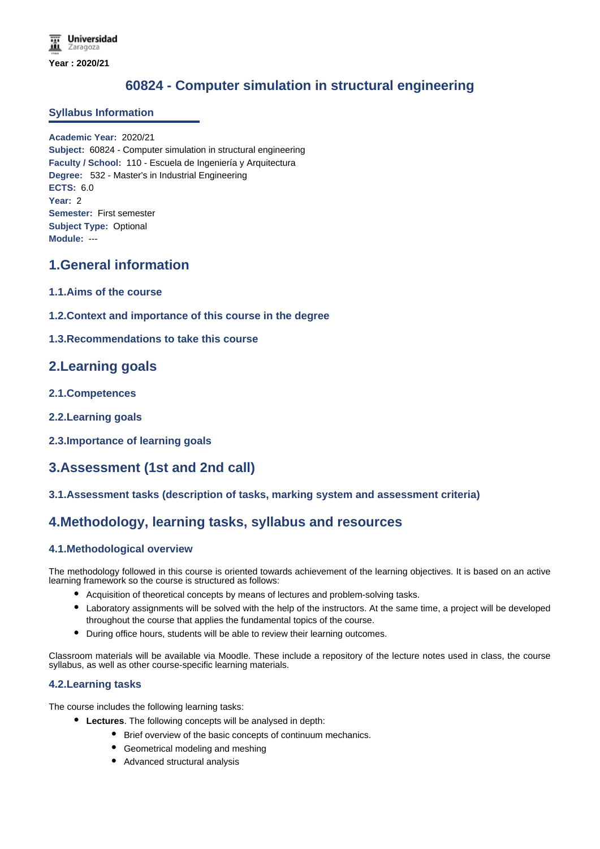# **60824 - Computer simulation in structural engineering**

### **Syllabus Information**

**Academic Year:** 2020/21 **Subject:** 60824 - Computer simulation in structural engineering **Faculty / School:** 110 - Escuela de Ingeniería y Arquitectura **Degree:** 532 - Master's in Industrial Engineering **ECTS:** 6.0 **Year:** 2 **Semester:** First semester **Subject Type:** Optional **Module:** ---

## **1.General information**

- **1.1.Aims of the course**
- **1.2.Context and importance of this course in the degree**
- **1.3.Recommendations to take this course**

## **2.Learning goals**

- **2.1.Competences**
- **2.2.Learning goals**
- **2.3.Importance of learning goals**

# **3.Assessment (1st and 2nd call)**

### **3.1.Assessment tasks (description of tasks, marking system and assessment criteria)**

## **4.Methodology, learning tasks, syllabus and resources**

### **4.1.Methodological overview**

The methodology followed in this course is oriented towards achievement of the learning objectives. It is based on an active learning framework so the course is structured as follows:

- Acquisition of theoretical concepts by means of lectures and problem-solving tasks.
- Laboratory assignments will be solved with the help of the instructors. At the same time, a project will be developed throughout the course that applies the fundamental topics of the course.
- During office hours, students will be able to review their learning outcomes.

Classroom materials will be available via Moodle. These include a repository of the lecture notes used in class, the course syllabus, as well as other course-specific learning materials.

### **4.2.Learning tasks**

The course includes the following learning tasks:

- **Lectures**. The following concepts will be analysed in depth:
	- Brief overview of the basic concepts of continuum mechanics.
	- Geometrical modeling and meshing
	- Advanced structural analysis